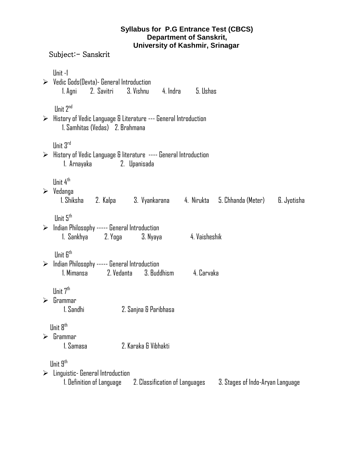## **Syllabus for P.G Entrance Test (CBCS) Department of Sanskrit, University of Kashmir, Srinagar**

## Subject:- Sanskrit

|                       | Unit-1<br>$\triangleright$ Vedic Gods (Devta) - General Introduction<br>1. Agni 2. Savitri 3. Vishnu 4. Indra 5. Ushas                                                       |  |  |  |  |  |
|-----------------------|------------------------------------------------------------------------------------------------------------------------------------------------------------------------------|--|--|--|--|--|
|                       | Unit 2 <sup>nd</sup><br>$\triangleright$ History of Vedic Language & Literature --- General Introduction<br>1. Samhitas (Vedas) 2. Brahmana                                  |  |  |  |  |  |
|                       | Unit 3rd<br>$\triangleright$ History of Vedic Language & literature ---- General Introduction<br>2. Upanisada<br>1. Arnayaka                                                 |  |  |  |  |  |
|                       | Unit 4 <sup>th</sup><br>$\triangleright$ Vedanga<br>1. Shiksha 2. Kalpa 3. Vyankarana 4. Nirukta 5. Chhanda (Meter) 6. Jyotisha                                              |  |  |  |  |  |
|                       | Unit 5 <sup>th</sup><br>$\triangleright$ Indian Philosophy ----- General Introduction                                                                                        |  |  |  |  |  |
|                       | Unit 6 <sup>th</sup><br>$\triangleright$ Indian Philosophy ----- General Introduction<br>2. Vedanta 3. Buddhism 4. Carvaka<br>1. Mimansa                                     |  |  |  |  |  |
|                       | Unit 7 <sup>th</sup><br>$\triangleright$ Grammar<br>1. Sandhi<br>2. Sanjna & Paribhasa                                                                                       |  |  |  |  |  |
| $\blacktriangleright$ | Unit 8 <sup>th</sup><br>Grammar<br>1. Samasa<br>2. Karaka & Vibhakti                                                                                                         |  |  |  |  |  |
|                       | Unit 9 <sup>th</sup><br>$\triangleright$ Linguistic- General Introduction<br>1. Definition of Language<br>2. Classification of Languages<br>3. Stages of Indo-Aryan Language |  |  |  |  |  |